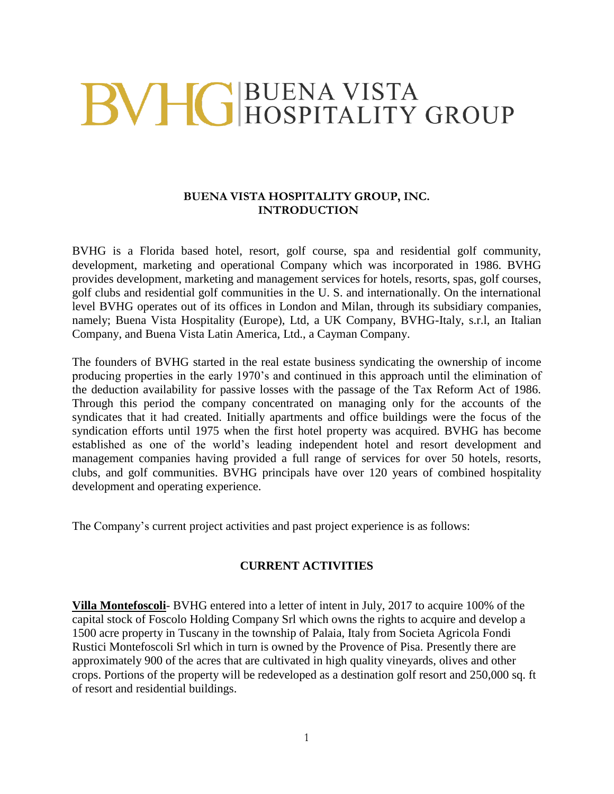# BVHG BUENA VISTA<br>HOSPITALITY GROUP

## **BUENA VISTA HOSPITALITY GROUP, INC. INTRODUCTION**

BVHG is a Florida based hotel, resort, golf course, spa and residential golf community, development, marketing and operational Company which was incorporated in 1986. BVHG provides development, marketing and management services for hotels, resorts, spas, golf courses, golf clubs and residential golf communities in the U. S. and internationally. On the international level BVHG operates out of its offices in London and Milan, through its subsidiary companies, namely; Buena Vista Hospitality (Europe), Ltd, a UK Company, BVHG-Italy, s.r.l, an Italian Company, and Buena Vista Latin America, Ltd., a Cayman Company.

The founders of BVHG started in the real estate business syndicating the ownership of income producing properties in the early 1970's and continued in this approach until the elimination of the deduction availability for passive losses with the passage of the Tax Reform Act of 1986. Through this period the company concentrated on managing only for the accounts of the syndicates that it had created. Initially apartments and office buildings were the focus of the syndication efforts until 1975 when the first hotel property was acquired. BVHG has become established as one of the world's leading independent hotel and resort development and management companies having provided a full range of services for over 50 hotels, resorts, clubs, and golf communities. BVHG principals have over 120 years of combined hospitality development and operating experience.

The Company's current project activities and past project experience is as follows:

#### **CURRENT ACTIVITIES**

**Villa Montefoscoli**- BVHG entered into a letter of intent in July, 2017 to acquire 100% of the capital stock of Foscolo Holding Company Srl which owns the rights to acquire and develop a 1500 acre property in Tuscany in the township of Palaia, Italy from Societa Agricola Fondi Rustici Montefoscoli Srl which in turn is owned by the Provence of Pisa. Presently there are approximately 900 of the acres that are cultivated in high quality vineyards, olives and other crops. Portions of the property will be redeveloped as a destination golf resort and 250,000 sq. ft of resort and residential buildings.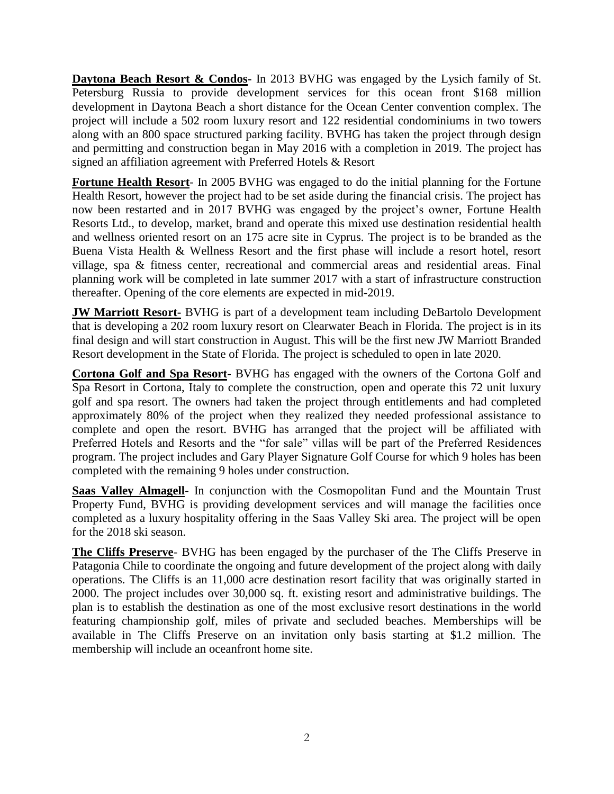**Daytona Beach Resort & Condos-** In 2013 BVHG was engaged by the Lysich family of St. Petersburg Russia to provide development services for this ocean front \$168 million development in Daytona Beach a short distance for the Ocean Center convention complex. The project will include a 502 room luxury resort and 122 residential condominiums in two towers along with an 800 space structured parking facility. BVHG has taken the project through design and permitting and construction began in May 2016 with a completion in 2019. The project has signed an affiliation agreement with Preferred Hotels & Resort

**Fortune Health Resort**- In 2005 BVHG was engaged to do the initial planning for the Fortune Health Resort, however the project had to be set aside during the financial crisis. The project has now been restarted and in 2017 BVHG was engaged by the project's owner, Fortune Health Resorts Ltd., to develop, market, brand and operate this mixed use destination residential health and wellness oriented resort on an 175 acre site in Cyprus. The project is to be branded as the Buena Vista Health & Wellness Resort and the first phase will include a resort hotel, resort village, spa & fitness center, recreational and commercial areas and residential areas. Final planning work will be completed in late summer 2017 with a start of infrastructure construction thereafter. Opening of the core elements are expected in mid-2019.

**JW Marriott Resort-** BVHG is part of a development team including DeBartolo Development that is developing a 202 room luxury resort on Clearwater Beach in Florida. The project is in its final design and will start construction in August. This will be the first new JW Marriott Branded Resort development in the State of Florida. The project is scheduled to open in late 2020.

**Cortona Golf and Spa Resort**- BVHG has engaged with the owners of the Cortona Golf and Spa Resort in Cortona, Italy to complete the construction, open and operate this 72 unit luxury golf and spa resort. The owners had taken the project through entitlements and had completed approximately 80% of the project when they realized they needed professional assistance to complete and open the resort. BVHG has arranged that the project will be affiliated with Preferred Hotels and Resorts and the "for sale" villas will be part of the Preferred Residences program. The project includes and Gary Player Signature Golf Course for which 9 holes has been completed with the remaining 9 holes under construction.

**Saas Valley Almagell**- In conjunction with the Cosmopolitan Fund and the Mountain Trust Property Fund, BVHG is providing development services and will manage the facilities once completed as a luxury hospitality offering in the Saas Valley Ski area. The project will be open for the 2018 ski season.

**The Cliffs Preserve**- BVHG has been engaged by the purchaser of the The Cliffs Preserve in Patagonia Chile to coordinate the ongoing and future development of the project along with daily operations. The Cliffs is an 11,000 acre destination resort facility that was originally started in 2000. The project includes over 30,000 sq. ft. existing resort and administrative buildings. The plan is to establish the destination as one of the most exclusive resort destinations in the world featuring championship golf, miles of private and secluded beaches. Memberships will be available in The Cliffs Preserve on an invitation only basis starting at \$1.2 million. The membership will include an oceanfront home site.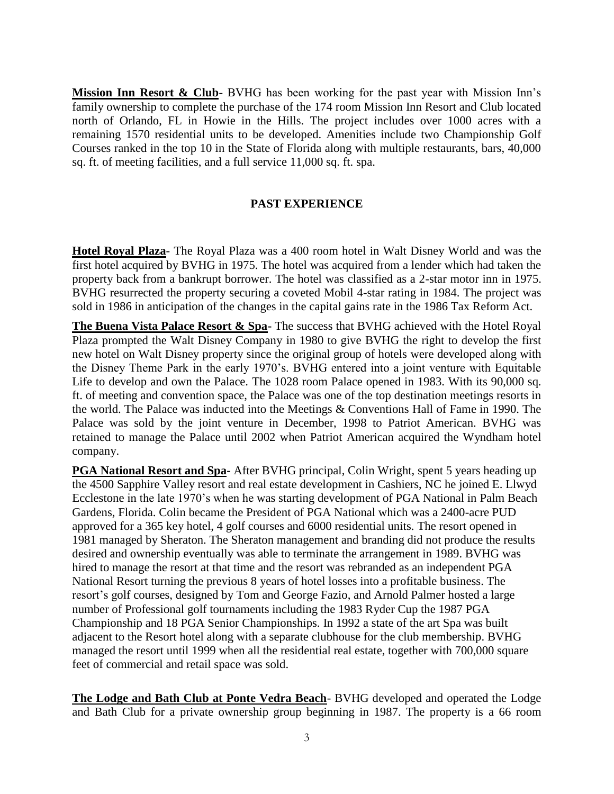**Mission Inn Resort & Club**- BVHG has been working for the past year with Mission Inn's family ownership to complete the purchase of the 174 room Mission Inn Resort and Club located north of Orlando, FL in Howie in the Hills. The project includes over 1000 acres with a remaining 1570 residential units to be developed. Amenities include two Championship Golf Courses ranked in the top 10 in the State of Florida along with multiple restaurants, bars, 40,000 sq. ft. of meeting facilities, and a full service 11,000 sq. ft. spa.

## **PAST EXPERIENCE**

**Hotel Royal Plaza**- The Royal Plaza was a 400 room hotel in Walt Disney World and was the first hotel acquired by BVHG in 1975. The hotel was acquired from a lender which had taken the property back from a bankrupt borrower. The hotel was classified as a 2-star motor inn in 1975. BVHG resurrected the property securing a coveted Mobil 4-star rating in 1984. The project was sold in 1986 in anticipation of the changes in the capital gains rate in the 1986 Tax Reform Act.

**The Buena Vista Palace Resort & Spa-** The success that BVHG achieved with the Hotel Royal Plaza prompted the Walt Disney Company in 1980 to give BVHG the right to develop the first new hotel on Walt Disney property since the original group of hotels were developed along with the Disney Theme Park in the early 1970's. BVHG entered into a joint venture with Equitable Life to develop and own the Palace. The 1028 room Palace opened in 1983. With its 90,000 sq. ft. of meeting and convention space, the Palace was one of the top destination meetings resorts in the world. The Palace was inducted into the Meetings & Conventions Hall of Fame in 1990. The Palace was sold by the joint venture in December, 1998 to Patriot American. BVHG was retained to manage the Palace until 2002 when Patriot American acquired the Wyndham hotel company.

**PGA National Resort and Spa-** After BVHG principal, Colin Wright, spent 5 years heading up the 4500 Sapphire Valley resort and real estate development in Cashiers, NC he joined E. Llwyd Ecclestone in the late 1970's when he was starting development of PGA National in Palm Beach Gardens, Florida. Colin became the President of PGA National which was a 2400-acre PUD approved for a 365 key hotel, 4 golf courses and 6000 residential units. The resort opened in 1981 managed by Sheraton. The Sheraton management and branding did not produce the results desired and ownership eventually was able to terminate the arrangement in 1989. BVHG was hired to manage the resort at that time and the resort was rebranded as an independent PGA National Resort turning the previous 8 years of hotel losses into a profitable business. The resort's golf courses, designed by Tom and George Fazio, and Arnold Palmer hosted a large number of Professional golf tournaments including the 1983 Ryder Cup the 1987 PGA Championship and 18 PGA Senior Championships. In 1992 a state of the art Spa was built adjacent to the Resort hotel along with a separate clubhouse for the club membership. BVHG managed the resort until 1999 when all the residential real estate, together with 700,000 square feet of commercial and retail space was sold.

**The Lodge and Bath Club at Ponte Vedra Beach**- BVHG developed and operated the Lodge and Bath Club for a private ownership group beginning in 1987. The property is a 66 room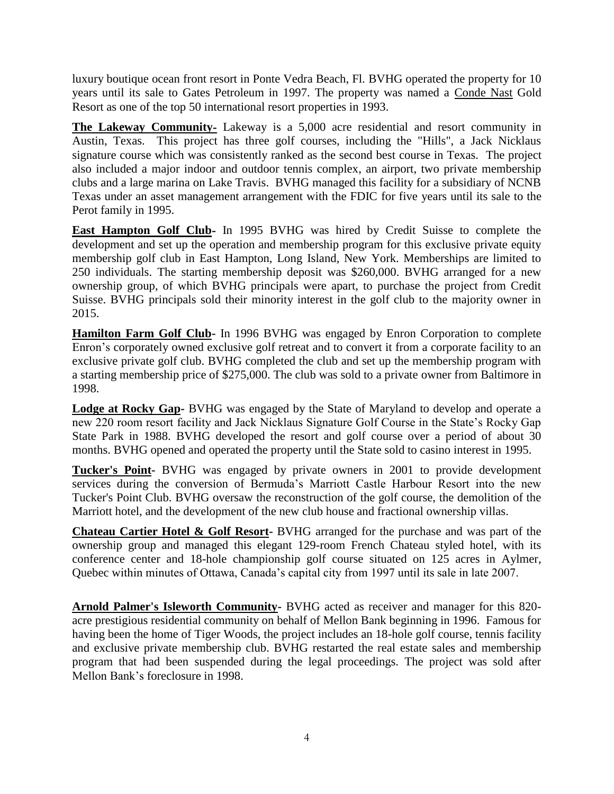luxury boutique ocean front resort in Ponte Vedra Beach, Fl. BVHG operated the property for 10 years until its sale to Gates Petroleum in 1997. The property was named a Conde Nast Gold Resort as one of the top 50 international resort properties in 1993.

**The Lakeway Community-** Lakeway is a 5,000 acre residential and resort community in Austin, Texas. This project has three golf courses, including the "Hills", a Jack Nicklaus signature course which was consistently ranked as the second best course in Texas. The project also included a major indoor and outdoor tennis complex, an airport, two private membership clubs and a large marina on Lake Travis. BVHG managed this facility for a subsidiary of NCNB Texas under an asset management arrangement with the FDIC for five years until its sale to the Perot family in 1995.

**East Hampton Golf Club-** In 1995 BVHG was hired by Credit Suisse to complete the development and set up the operation and membership program for this exclusive private equity membership golf club in East Hampton, Long Island, New York. Memberships are limited to 250 individuals. The starting membership deposit was \$260,000. BVHG arranged for a new ownership group, of which BVHG principals were apart, to purchase the project from Credit Suisse. BVHG principals sold their minority interest in the golf club to the majority owner in 2015.

**Hamilton Farm Golf Club-** In 1996 BVHG was engaged by Enron Corporation to complete Enron's corporately owned exclusive golf retreat and to convert it from a corporate facility to an exclusive private golf club. BVHG completed the club and set up the membership program with a starting membership price of \$275,000. The club was sold to a private owner from Baltimore in 1998.

**Lodge at Rocky Gap-** BVHG was engaged by the State of Maryland to develop and operate a new 220 room resort facility and Jack Nicklaus Signature Golf Course in the State's Rocky Gap State Park in 1988. BVHG developed the resort and golf course over a period of about 30 months. BVHG opened and operated the property until the State sold to casino interest in 1995.

**Tucker's Point-** BVHG was engaged by private owners in 2001 to provide development services during the conversion of Bermuda's Marriott Castle Harbour Resort into the new Tucker's Point Club. BVHG oversaw the reconstruction of the golf course, the demolition of the Marriott hotel, and the development of the new club house and fractional ownership villas.

**Chateau Cartier Hotel & Golf Resort-** BVHG arranged for the purchase and was part of the ownership group and managed this elegant 129-room French Chateau styled hotel, with its conference center and 18-hole championship golf course situated on 125 acres in Aylmer, Quebec within minutes of Ottawa, Canada's capital city from 1997 until its sale in late 2007.

**Arnold Palmer's Isleworth Community-** BVHG acted as receiver and manager for this 820 acre prestigious residential community on behalf of Mellon Bank beginning in 1996. Famous for having been the home of Tiger Woods, the project includes an 18-hole golf course, tennis facility and exclusive private membership club. BVHG restarted the real estate sales and membership program that had been suspended during the legal proceedings. The project was sold after Mellon Bank's foreclosure in 1998.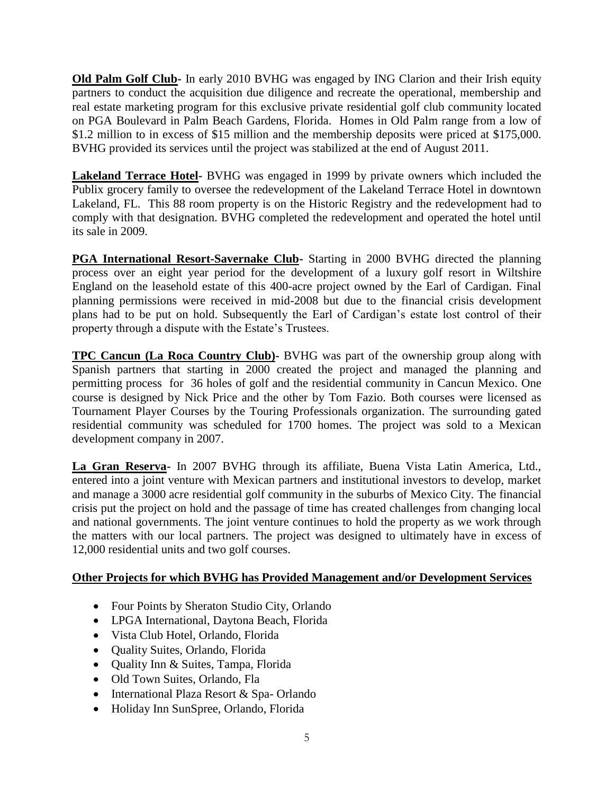**Old Palm Golf Club-** In early 2010 BVHG was engaged by ING Clarion and their Irish equity partners to conduct the acquisition due diligence and recreate the operational, membership and real estate marketing program for this exclusive private residential golf club community located on PGA Boulevard in Palm Beach Gardens, Florida. Homes in Old Palm range from a low of \$1.2 million to in excess of \$15 million and the membership deposits were priced at \$175,000. BVHG provided its services until the project was stabilized at the end of August 2011.

**Lakeland Terrace Hotel-** BVHG was engaged in 1999 by private owners which included the Publix grocery family to oversee the redevelopment of the Lakeland Terrace Hotel in downtown Lakeland, FL. This 88 room property is on the Historic Registry and the redevelopment had to comply with that designation. BVHG completed the redevelopment and operated the hotel until its sale in 2009.

**PGA International Resort-Savernake Club-** Starting in 2000 BVHG directed the planning process over an eight year period for the development of a luxury golf resort in Wiltshire England on the leasehold estate of this 400-acre project owned by the Earl of Cardigan. Final planning permissions were received in mid-2008 but due to the financial crisis development plans had to be put on hold. Subsequently the Earl of Cardigan's estate lost control of their property through a dispute with the Estate's Trustees.

**TPC Cancun (La Roca Country Club)-** BVHG was part of the ownership group along with Spanish partners that starting in 2000 created the project and managed the planning and permitting process for 36 holes of golf and the residential community in Cancun Mexico. One course is designed by Nick Price and the other by Tom Fazio. Both courses were licensed as Tournament Player Courses by the Touring Professionals organization. The surrounding gated residential community was scheduled for 1700 homes. The project was sold to a Mexican development company in 2007.

**La Gran Reserva-** In 2007 BVHG through its affiliate, Buena Vista Latin America, Ltd., entered into a joint venture with Mexican partners and institutional investors to develop, market and manage a 3000 acre residential golf community in the suburbs of Mexico City. The financial crisis put the project on hold and the passage of time has created challenges from changing local and national governments. The joint venture continues to hold the property as we work through the matters with our local partners. The project was designed to ultimately have in excess of 12,000 residential units and two golf courses.

# **Other Projects for which BVHG has Provided Management and/or Development Services**

- Four Points by Sheraton Studio City, Orlando
- LPGA International, Daytona Beach, Florida
- Vista Club Hotel, Orlando, Florida
- Quality Suites, Orlando, Florida
- Quality Inn & Suites, Tampa, Florida
- Old Town Suites, Orlando, Fla
- International Plaza Resort & Spa-Orlando
- Holiday Inn SunSpree, Orlando, Florida